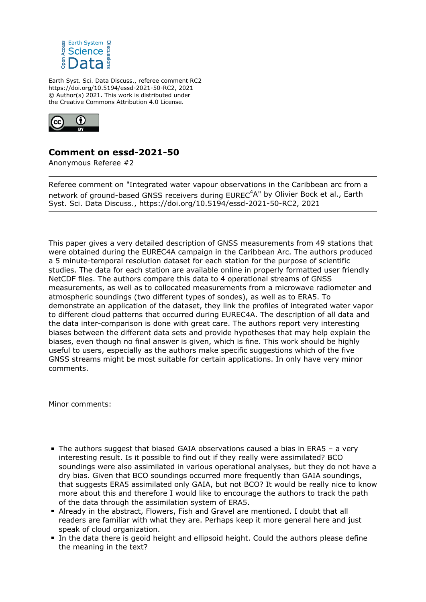

Earth Syst. Sci. Data Discuss., referee comment RC2 https://doi.org/10.5194/essd-2021-50-RC2, 2021 © Author(s) 2021. This work is distributed under the Creative Commons Attribution 4.0 License.



## **Comment on essd-2021-50**

Anonymous Referee #2

Referee comment on "Integrated water vapour observations in the Caribbean arc from a network of ground-based GNSS receivers during EUREC<sup>4</sup>A" by Olivier Bock et al., Earth Syst. Sci. Data Discuss., https://doi.org/10.5194/essd-2021-50-RC2, 2021

This paper gives a very detailed description of GNSS measurements from 49 stations that were obtained during the EUREC4A campaign in the Caribbean Arc. The authors produced a 5 minute-temporal resolution dataset for each station for the purpose of scientific studies. The data for each station are available online in properly formatted user friendly NetCDF files. The authors compare this data to 4 operational streams of GNSS measurements, as well as to collocated measurements from a microwave radiometer and atmospheric soundings (two different types of sondes), as well as to ERA5. To demonstrate an application of the dataset, they link the profiles of integrated water vapor to different cloud patterns that occurred during EUREC4A. The description of all data and the data inter-comparison is done with great care. The authors report very interesting biases between the different data sets and provide hypotheses that may help explain the biases, even though no final answer is given, which is fine. This work should be highly useful to users, especially as the authors make specific suggestions which of the five GNSS streams might be most suitable for certain applications. In only have very minor comments.

Minor comments:

- The authors suggest that biased GAIA observations caused a bias in ERA5 a very interesting result. Is it possible to find out if they really were assimilated? BCO soundings were also assimilated in various operational analyses, but they do not have a dry bias. Given that BCO soundings occurred more frequently than GAIA soundings, that suggests ERA5 assimilated only GAIA, but not BCO? It would be really nice to know more about this and therefore I would like to encourage the authors to track the path of the data through the assimilation system of ERA5.
- Already in the abstract, Flowers, Fish and Gravel are mentioned. I doubt that all readers are familiar with what they are. Perhaps keep it more general here and just speak of cloud organization.
- In the data there is geoid height and ellipsoid height. Could the authors please define the meaning in the text?